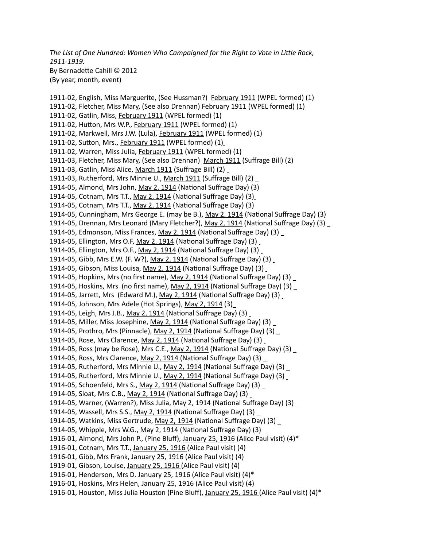*The List of One Hundred: Women Who Campaigned for the Right to Vote in Little Rock, 1911-1919.*  By Bernadette Cahill © 2012 (By year, month, event)

1911-02, English, Miss Marguerite, (See Hussman?) February 1911 (WPEL formed) (1) 1911-02, Fletcher, Miss Mary, (See also Drennan) February 1911 (WPEL formed) (1) 1911-02, Gatlin, Miss, February 1911 (WPEL formed) (1) 1911-02, Hutton, Mrs W.P., February 1911 (WPEL formed) (1) 1911-02, Markwell, Mrs J.W. (Lula), February 1911 (WPEL formed) (1) 1911-02, Sutton, Mrs., February 1911 (WPEL formed) (1) 1911-02, Warren, Miss Julia, February 1911 (WPEL formed) (1) 1911-03, Fletcher, Miss Mary, (See also Drennan) March 1911 (Suffrage Bill) (2) 1911-03, Gatlin, Miss Alice, March 1911 (Suffrage Bill) (2) 1911-03, Rutherford, Mrs Minnie U., March 1911 (Suffrage Bill) (2) \_ 1914-05, Almond, Mrs John, May 2, 1914 (National Suffrage Day) (3) 1914-05, Cotnam, Mrs T.T., May 2, 1914 (National Suffrage Day) (3) 1914-05, Cotnam, Mrs T.T., May 2, 1914 (National Suffrage Day) (3) 1914-05, Cunningham, Mrs George E. (may be B.), May 2, 1914 (National Suffrage Day) (3) 1914-05, Drennan, Mrs Leonard (Mary Fletcher?), May 2, 1914 (National Suffrage Day) (3) \_ 1914-05, Edmonson, Miss Frances, May 2, 1914 (National Suffrage Day) (3) 1914-05, Ellington, Mrs O.F, May 2, 1914 (National Suffrage Day) (3) 1914-05, Ellington, Mrs O.F., May 2, 1914 (National Suffrage Day) (3) \_ 1914-05, Gibb, Mrs E.W. (F. W?), May 2, 1914 (National Suffrage Day) (3) 1914-05, Gibson, Miss Louisa, May 2, 1914 (National Suffrage Day) (3) 1914-05, Hopkins, Mrs (no first name), May 2, 1914 (National Suffrage Day) (3) \_ 1914-05, Hoskins, Mrs (no first name), May 2, 1914 (National Suffrage Day) (3) 1914-05, Jarrett, Mrs (Edward M.), May 2, 1914 (National Suffrage Day) (3) 1914-05, Johnson, Mrs Adele (Hot Springs), May 2, 1914 (3) 1914-05, Leigh, Mrs J.B., May 2, 1914 (National Suffrage Day) (3) 1914-05, Miller, Miss Josephine, May 2, 1914 (National Suffrage Day) (3) 1914-05, Prothro, Mrs (Pinnacle), May 2, 1914 (National Suffrage Day) (3) 1914-05, Rose, Mrs Clarence, May 2, 1914 (National Suffrage Day) (3) 1914-05, Ross (may be Rose), Mrs C.E., May 2, 1914 (National Suffrage Day) (3) \_ 1914-05, Ross, Mrs Clarence, May 2, 1914 (National Suffrage Day) (3) \_ 1914-05, Rutherford, Mrs Minnie U., May 2, 1914 (National Suffrage Day) (3) \_ 1914-05, Rutherford, Mrs Minnie U., May 2, 1914 (National Suffrage Day) (3) 1914-05, Schoenfeld, Mrs S., May 2, 1914 (National Suffrage Day) (3) 1914-05, Sloat, Mrs C.B., May 2, 1914 (National Suffrage Day) (3) 1914-05, Warner, (Warren?), Miss Julia, May 2, 1914 (National Suffrage Day) (3) 1914-05, Wassell, Mrs S.S., May 2, 1914 (National Suffrage Day) (3) 1914-05, Watkins, Miss Gertrude, May 2, 1914 (National Suffrage Day) (3) 1914-05, Whipple, Mrs W.G., May 2, 1914 (National Suffrage Day) (3)  $\_$ 1916-01, Almond, Mrs John P., (Pine Bluff), January 25, 1916 (Alice Paul visit) (4)\* 1916-01, Cotnam, Mrs T.T., January 25, 1916 (Alice Paul visit) (4) 1916-01, Gibb, Mrs Frank, January 25, 1916 (Alice Paul visit) (4) 1919-01, Gibson, Louise, January 25, 1916 (Alice Paul visit) (4) 1916-01, Henderson, Mrs D. January 25, 1916 (Alice Paul visit) (4)\* 1916-01, Hoskins, Mrs Helen, January 25, 1916 (Alice Paul visit) (4) 1916-01, Houston, Miss Julia Houston (Pine Bluff), January 25, 1916 (Alice Paul visit) (4)\*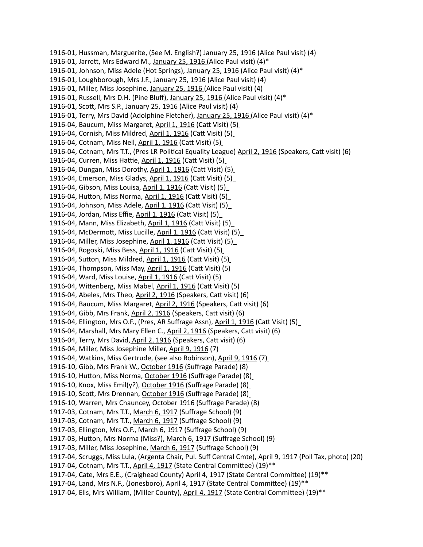1916-01, Hussman, Marguerite, (See M. English?) January 25, 1916 (Alice Paul visit) (4) 1916-01, Jarrett, Mrs Edward M., January 25, 1916 (Alice Paul visit) (4)\* 1916-01, Johnson, Miss Adele (Hot Springs), January 25, 1916 (Alice Paul visit) (4)\* 1916-01, Loughborough, Mrs J.F., January 25, 1916 (Alice Paul visit) (4) 1916-01, Miller, Miss Josephine, January 25, 1916 (Alice Paul visit) (4) 1916-01, Russell, Mrs D.H. (Pine Bluff), January 25, 1916 (Alice Paul visit) (4)\* 1916-01, Scott, Mrs S.P., January 25, 1916 (Alice Paul visit) (4) 1916-01, Terry, Mrs David (Adolphine Fletcher), January 25, 1916 (Alice Paul visit) (4)\* 1916-04, Baucum, Miss Margaret, April 1, 1916 (Catt Visit) (5) 1916-04, Cornish, Miss Mildred, April 1, 1916 (Catt Visit) (5) 1916-04, Cotnam, Miss Nell, April 1, 1916 (Catt Visit) (5) 1916-04, Cotnam, Mrs T.T., (Pres LR Political Equality League) April 2, 1916 (Speakers, Catt visit) (6) 1916-04, Curren, Miss Hattie, April 1, 1916 (Catt Visit) (5) 1916-04, Dungan, Miss Dorothy, April 1, 1916 (Catt Visit) (5) 1916-04, Emerson, Miss Gladys, April 1, 1916 (Catt Visit) (5) 1916-04, Gibson, Miss Louisa, April 1, 1916 (Catt Visit) (5) 1916-04, Hutton, Miss Norma, April 1, 1916 (Catt Visit) (5) 1916-04, Johnson, Miss Adele, April 1, 1916 (Catt Visit) (5) 1916-04, Jordan, Miss Effie, April 1, 1916 (Catt Visit) (5) 1916-04, Mann, Miss Elizabeth, April 1, 1916 (Catt Visit) (5) 1916-04, McDermott, Miss Lucille, April 1, 1916 (Catt Visit) (5) 1916-04, Miller, Miss Josephine, April 1, 1916 (Catt Visit) (5) 1916-04, Rogoski, Miss Bess, April 1, 1916 (Catt Visit) (5) 1916-04, Sutton, Miss Mildred, April 1, 1916 (Catt Visit) (5) 1916-04, Thompson, Miss May, April 1, 1916 (Catt Visit) (5) 1916-04, Ward, Miss Louise, April 1, 1916 (Catt Visit) (5) 1916-04, Wittenberg, Miss Mabel, April 1, 1916 (Catt Visit) (5) 1916-04, Abeles, Mrs Theo, April 2, 1916 (Speakers, Catt visit) (6) 1916-04, Baucum, Miss Margaret, April 2, 1916 (Speakers, Catt visit) (6) 1916-04, Gibb, Mrs Frank, April 2, 1916 (Speakers, Catt visit) (6) 1916-04, Ellington, Mrs O.F., (Pres, AR Suffrage Assn), April 1, 1916 (Catt Visit) (5) 1916-04, Marshall, Mrs Mary Ellen C., April 2, 1916 (Speakers, Catt visit) (6) 1916-04, Terry, Mrs David, April 2, 1916 (Speakers, Catt visit) (6) 1916-04, Miller, Miss Josephine Miller, April 9, 1916 (7) 1916-04, Watkins, Miss Gertrude, (see also Robinson), April 9, 1916 (7) 1916-10, Gibb, Mrs Frank W., October 1916 (Suffrage Parade) (8) 1916-10, Hutton, Miss Norma, October 1916 (Suffrage Parade) (8) 1916-10, Knox, Miss Emil(y?), October 1916 (Suffrage Parade) (8) 1916-10, Scott, Mrs Drennan, October 1916 (Suffrage Parade) (8) 1916-10, Warren, Mrs Chauncey, October 1916 (Suffrage Parade) (8) 1917-03, Cotnam, Mrs T.T., March 6, 1917 (Suffrage School) (9) 1917-03, Cotnam, Mrs T.T., March 6, 1917 (Suffrage School) (9) 1917-03, Ellington, Mrs O.F., March 6, 1917 (Suffrage School) (9) 1917-03, Hutton, Mrs Norma (Miss?), March 6, 1917 (Suffrage School) (9) 1917-03, Miller, Miss Josephine, March 6, 1917 (Suffrage School) (9) 1917-04, Scruggs, Miss Lula, (Argenta Chair, Pul. Suff Central Cmte), April 9, 1917 (Poll Tax, photo) (20) 1917-04, Cotnam, Mrs T.T., April 4, 1917 (State Central Committee) (19)\*\* 1917-04, Cate, Mrs E.E., (Craighead County) April 4, 1917 (State Central Committee) (19)\*\* 1917-04, Land, Mrs N.F., (Jonesboro), April 4, 1917 (State Central Committee) (19)\*\* 1917-04, Ells, Mrs William, (Miller County), April 4, 1917 (State Central Committee) (19)\*\*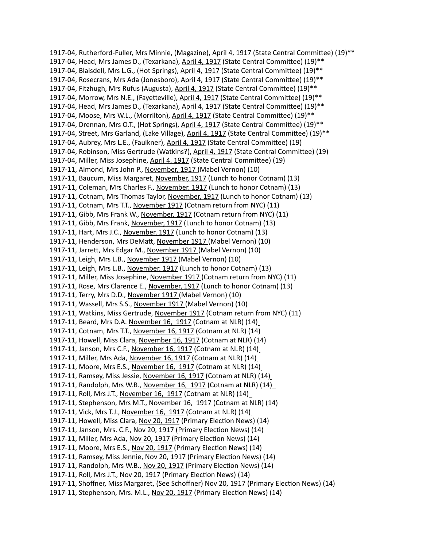1917-04, Rutherford-Fuller, Mrs Minnie, (Magazine), April 4, 1917 (State Central Committee) (19)\*\* 1917-04, Head, Mrs James D., (Texarkana), April 4, 1917 (State Central Committee) (19)\*\* 1917-04, Blaisdell, Mrs L.G., (Hot Springs), April 4, 1917 (State Central Committee) (19)\*\* 1917-04, Rosecrans, Mrs Ada (Jonesboro), April 4, 1917 (State Central Committee) (19)\*\* 1917-04, Fitzhugh, Mrs Rufus (Augusta), April 4, 1917 (State Central Committee) (19)\*\* 1917-04, Morrow, Mrs N.E., (Fayetteville), April 4, 1917 (State Central Committee) (19)\*\* 1917-04, Head, Mrs James D., (Texarkana), April 4, 1917 (State Central Committee) (19)\*\* 1917-04, Moose, Mrs W.L., (Morrilton), April 4, 1917 (State Central Committee) (19)\*\* 1917-04, Drennan, Mrs O.T., (Hot Springs), April 4, 1917 (State Central Committee) (19)\*\* 1917-04, Street, Mrs Garland, (Lake Village), April 4, 1917 (State Central Committee) (19)\*\* 1917-04, Aubrey, Mrs L.E., (Faulkner), April 4, 1917 (State Central Committee) (19) 1917-04, Robinson, Miss Gertrude (Watkins?), April 4, 1917 (State Central Committee) (19) 1917-04, Miller, Miss Josephine, April 4, 1917 (State Central Committee) (19) 1917-11, Almond, Mrs John P., November, 1917 (Mabel Vernon) (10) 1917-11, Baucum, Miss Margaret, November, 1917 (Lunch to honor Cotnam) (13) 1917-11, Coleman, Mrs Charles F., November, 1917 (Lunch to honor Cotnam) (13) 1917-11, Cotnam, Mrs Thomas Taylor, November, 1917 (Lunch to honor Cotnam) (13) 1917-11, Cotnam, Mrs T.T., November 1917 (Cotnam return from NYC) (11) 1917-11, Gibb, Mrs Frank W., November, 1917 (Cotnam return from NYC) (11) 1917-11, Gibb, Mrs Frank, November, 1917 (Lunch to honor Cotnam) (13) 1917-11, Hart, Mrs J.C., November, 1917 (Lunch to honor Cotnam) (13) 1917-11, Henderson, Mrs DeMatt, November 1917 (Mabel Vernon) (10) 1917-11, Jarrett, Mrs Edgar M., November 1917 (Mabel Vernon) (10) 1917-11, Leigh, Mrs L.B., November 1917 (Mabel Vernon) (10) 1917-11, Leigh, Mrs L.B., November, 1917 (Lunch to honor Cotnam) (13) 1917-11, Miller, Miss Josephine, November 1917 (Cotnam return from NYC) (11) 1917-11, Rose, Mrs Clarence E., November, 1917 (Lunch to honor Cotnam) (13) 1917-11, Terry, Mrs D.D., November 1917 (Mabel Vernon) (10) 1917-11, Wassell, Mrs S.S., November 1917 (Mabel Vernon) (10) 1917-11, Watkins, Miss Gertrude, November 1917 (Cotnam return from NYC) (11) 1917-11, Beard, Mrs D.A. November 16, 1917 (Cotnam at NLR) (14) 1917-11, Cotnam, Mrs T.T., November 16, 1917 (Cotnam at NLR) (14) 1917-11, Howell, Miss Clara, November 16, 1917 (Cotnam at NLR) (14) 1917-11, Janson, Mrs C.F., November 16, 1917 (Cotnam at NLR) (14) 1917-11, Miller, Mrs Ada, November 16, 1917 (Cotnam at NLR) (14) 1917-11, Moore, Mrs E.S., November 16, 1917 (Cotnam at NLR) (14) 1917-11, Ramsey, Miss Jessie, November 16, 1917 (Cotnam at NLR) (14) 1917-11, Randolph, Mrs W.B., November 16, 1917 (Cotnam at NLR) (14) 1917-11, Roll, Mrs J.T., November 16, 1917 (Cotnam at NLR) (14) 1917-11, Stephenson, Mrs M.T., November 16, 1917 (Cotnam at NLR) (14) 1917-11, Vick, Mrs T.J., November 16, 1917 (Cotnam at NLR) (14) 1917-11, Howell, Miss Clara, Nov 20, 1917 (Primary Election News) (14) 1917-11, Janson, Mrs. C.F., Nov 20, 1917 (Primary Election News) (14) 1917-11, Miller, Mrs Ada, Nov 20, 1917 (Primary Election News) (14) 1917-11, Moore, Mrs E.S., Nov 20, 1917 (Primary Election News) (14) 1917-11, Ramsey, Miss Jennie, Nov 20, 1917 (Primary Election News) (14) 1917-11, Randolph, Mrs W.B., Nov 20, 1917 (Primary Election News) (14) 1917-11, Roll, Mrs J.T., Nov 20, 1917 (Primary Election News) (14) 1917-11, Shoffner, Miss Margaret, (See Schoffner) Nov 20, 1917 (Primary Election News) (14) 1917-11, Stephenson, Mrs. M.L., Nov 20, 1917 (Primary Election News) (14)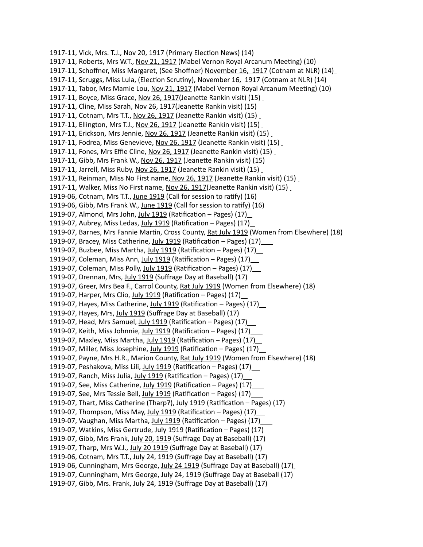1917-11, Vick, Mrs. T.J., Nov 20, 1917 (Primary Election News) (14) 1917-11, Roberts, Mrs W.T., Nov 21, 1917 (Mabel Vernon Royal Arcanum Meeting) (10) 1917-11, Schoffner, Miss Margaret, (See Shoffner) November 16, 1917 (Cotnam at NLR) (14) 1917-11, Scruggs, Miss Lula, (Election Scrutiny), November 16, 1917 (Cotnam at NLR) (14) 1917-11, Tabor, Mrs Mamie Lou, Nov 21, 1917 (Mabel Vernon Royal Arcanum Meeting) (10) 1917-11, Boyce, Miss Grace, Nov 26, 1917(Jeanette Rankin visit) (15) 1917-11, Cline, Miss Sarah, Nov 26, 1917(Jeanette Rankin visit) (15) 1917-11, Cotnam, Mrs T.T., Nov 26, 1917 (Jeanette Rankin visit) (15) 1917-11, Ellington, Mrs T.J., Nov 26, 1917 (Jeanette Rankin visit) (15) 1917-11, Erickson, Mrs Jennie, Nov 26, 1917 (Jeanette Rankin visit) (15) 1917-11, Fodrea, Miss Genevieve, Nov 26, 1917 (Jeanette Rankin visit) (15) 1917-11, Fones, Mrs Effie Cline, Nov 26, 1917 (Jeanette Rankin visit) (15) 1917-11, Gibb, Mrs Frank W., Nov 26, 1917 (Jeanette Rankin visit) (15) 1917-11, Jarrell, Miss Ruby, Nov 26, 1917 (Jeanette Rankin visit) (15) 1917-11, Reinman, Miss No First name, Nov 26, 1917 (Jeanette Rankin visit) (15) 1917-11, Walker, Miss No First name, Nov 26, 1917(Jeanette Rankin visit) (15) 1919-06, Cotnam, Mrs T.T., June 1919 (Call for session to ratify) (16) 1919-06, Gibb, Mrs Frank W., June 1919 (Call for session to ratify) (16) 1919-07, Almond, Mrs John, July 1919 (Ratification – Pages) (17) 1919-07, Aubrey, Miss Ledas, July 1919 (Ratification - Pages) (17) 1919-07, Barnes, Mrs Fannie Martin, Cross County, Rat July 1919 (Women from Elsewhere) (18) 1919-07, Bracey, Miss Catherine, July 1919 (Ratification – Pages) (17) 1919-07, Buzbee, Miss Martha, July 1919 (Ratification – Pages) (17) 1919-07, Coleman, Miss Ann, July 1919 (Ratification – Pages) (17) \_\_ 1919-07, Coleman, Miss Polly, July 1919 (Ratification – Pages) (17) 1919-07, Drennan, Mrs, July 1919 (Suffrage Day at Baseball) (17) 1919-07, Greer, Mrs Bea F., Carrol County, Rat July 1919 (Women from Elsewhere) (18) 1919-07, Harper, Mrs Clio, July 1919 (Ratification – Pages)  $(17)$ 1919-07, Hayes, Miss Catherine, July 1919 (Ratification - Pages) (17) 1919-07, Hayes, Mrs, July 1919 (Suffrage Day at Baseball) (17) 1919-07, Head, Mrs Samuel, July 1919 (Ratification – Pages) (17) 1919-07, Keith, Miss Johnnie, July 1919 (Ratification – Pages) (17) 1919-07, Maxley, Miss Martha, July 1919 (Ratification – Pages) (17) 1919-07, Miller, Miss Josephine, July 1919 (Ratification – Pages) (17) 1919-07, Payne, Mrs H.R., Marion County, Rat July 1919 (Women from Elsewhere) (18) 1919-07, Peshakova, Miss Lili, July 1919 (Ratification - Pages) (17)\_ 1919-07, Ranch, Miss Julia, July 1919 (Ratification - Pages) (17)\_ 1919-07, See, Miss Catherine, July 1919 (Ratification - Pages) (17) 1919-07, See, Mrs Tessie Bell, July 1919 (Ratification – Pages) (17) 1919-07, Thart, Miss Catherine (Tharp?), July 1919 (Ratification – Pages) (17) 1919-07, Thompson, Miss May, July 1919 (Ratification – Pages) (17) 1919-07, Vaughan, Miss Martha, July 1919 (Ratification – Pages) (17) 1919-07, Watkins, Miss Gertrude, July 1919 (Ratification – Pages) (17) 1919-07, Gibb, Mrs Frank, July 20, 1919 (Suffrage Day at Baseball) (17) 1919-07, Tharp, Mrs W.J., July 20 1919 (Suffrage Day at Baseball) (17) 1919-06, Cotnam, Mrs T.T., July 24, 1919 (Suffrage Day at Baseball) (17) 1919-06, Cunningham, Mrs George, July 24 1919 (Suffrage Day at Baseball) (17) 1919-07, Cunningham, Mrs George, July 24, 1919 (Suffrage Day at Baseball (17) 1919-07, Gibb, Mrs. Frank, July 24, 1919 (Suffrage Day at Baseball) (17)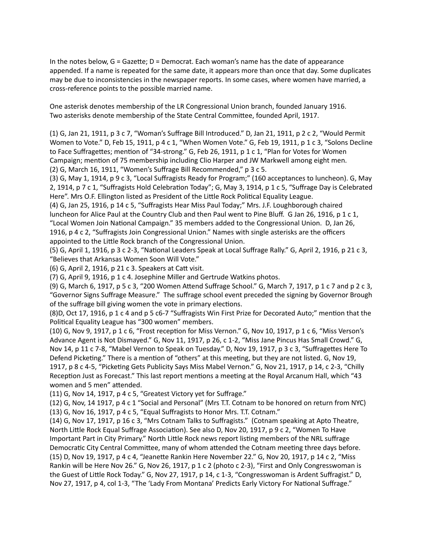In the notes below, G = Gazette; D = Democrat. Each woman's name has the date of appearance appended. If a name is repeated for the same date, it appears more than once that day. Some duplicates may be due to inconsistencies in the newspaper reports. In some cases, where women have married, a cross-reference points to the possible married name.

One asterisk denotes membership of the LR Congressional Union branch, founded January 1916. Two asterisks denote membership of the State Central Committee, founded April, 1917.

(1) G, Jan 21, 1911, p 3 c 7, "Woman's Suffrage Bill Introduced." D, Jan 21, 1911, p 2 c 2, "Would Permit Women to Vote." D, Feb 15, 1911, p 4 c 1, "When Women Vote." G, Feb 19, 1911, p 1 c 3, "Solons Decline to Face Suffragettes; mention of "34-strong." G, Feb 26, 1911, p 1 c 1, "Plan for Votes for Women Campaign; mention of 75 membership including Clio Harper and JW Markwell among eight men. (2) G, March 16, 1911, "Women's Suffrage Bill Recommended," p 3 c 5.

(3) G, May 1, 1914, p 9 c 3, "Local Suffragists Ready for Program;" (160 acceptances to luncheon). G, May 2, 1914, p 7 c 1, "Suffragists Hold Celebration Today"; G, May 3, 1914, p 1 c 5, "Suffrage Day is Celebrated Here". Mrs O.F. Ellington listed as President of the Little Rock Political Equality League.

(4) G, Jan 25, 1916, p 14 c 5, "Suffragists Hear Miss Paul Today;" Mrs. J.F. Loughborough chaired luncheon for Alice Paul at the Country Club and then Paul went to Pine Bluff. G Jan 26, 1916, p 1 c 1, "Local Women Join National Campaign." 35 members added to the Congressional Union. D, Jan 26, 1916, p 4 c 2, "Suffragists Join Congressional Union." Names with single asterisks are the officers appointed to the Little Rock branch of the Congressional Union.

(5) G, April 1, 1916, p 3 c 2-3, "National Leaders Speak at Local Suffrage Rally." G, April 2, 1916, p 21 c 3, "Believes that Arkansas Women Soon Will Vote."

(6) G, April 2, 1916, p 21 c 3. Speakers at Catt visit.

(7) G, April 9, 1916, p 1 c 4. Josephine Miller and Gertrude Watkins photos.

(9) G, March 6, 1917, p 5 c 3, "200 Women Attend Suffrage School." G, March 7, 1917, p 1 c 7 and p 2 c 3, "Governor Signs Suffrage Measure." The suffrage school event preceded the signing by Governor Brough of the suffrage bill giving women the vote in primary elections.

(8)D, Oct 17, 1916, p 1 c 4 and p 5 c6-7 "Suffragists Win First Prize for Decorated Auto;" mention that the Political Equality League has "300 women" members.

(10) G, Nov 9, 1917, p 1 c 6, "Frost reception for Miss Vernon." G, Nov 10, 1917, p 1 c 6, "Miss Verson's Advance Agent is Not Dismayed." G, Nov 11, 1917, p 26, c 1-2, "Miss Jane Pincus Has Small Crowd." G, Nov 14, p 11 c 7-8, "Mabel Vernon to Speak on Tuesday." D, Nov 19, 1917, p 3 c 3, "Suffragettes Here To Defend Picketing." There is a mention of "others" at this meeting, but they are not listed. G, Nov 19, 1917, p 8 c 4-5, "Picketing Gets Publicity Says Miss Mabel Vernon." G, Nov 21, 1917, p 14, c 2-3, "Chilly Reception Just as Forecast." This last report mentions a meeting at the Royal Arcanum Hall, which "43 women and 5 men" attended.

(11) G, Nov 14, 1917, p 4 c 5, "Greatest Victory yet for Suffrage."

(12) G, Nov, 14 1917, p 4 c 1 "Social and Personal" (Mrs T.T. Cotnam to be honored on return from NYC) (13) G, Nov 16, 1917, p 4 c 5, "Equal Suffragists to Honor Mrs. T.T. Cotnam."

(14) G, Nov 17, 1917, p 16 c 3, "Mrs Cotnam Talks to Suffragists." (Cotnam speaking at Apto Theatre, North Little Rock Equal Suffrage Association). See also D, Nov 20, 1917, p 9 c 2, "Women To Have Important Part in City Primary." North Little Rock news report listing members of the NRL suffrage Democratic City Central Committee, many of whom attended the Cotnam meeting three days before. (15) D, Nov 19, 1917, p 4 c 4, "Jeanette Rankin Here November 22." G, Nov 20, 1917, p 14 c 2, "Miss Rankin will be Here Nov 26." G, Nov 26, 1917, p 1 c 2 (photo c 2-3), "First and Only Congresswoman is the Guest of Little Rock Today." G, Nov 27, 1917, p 14, c 1-3, "Congresswoman is Ardent Suffragist." D, Nov 27, 1917, p 4, col 1-3, "The 'Lady From Montana' Predicts Early Victory For National Suffrage."